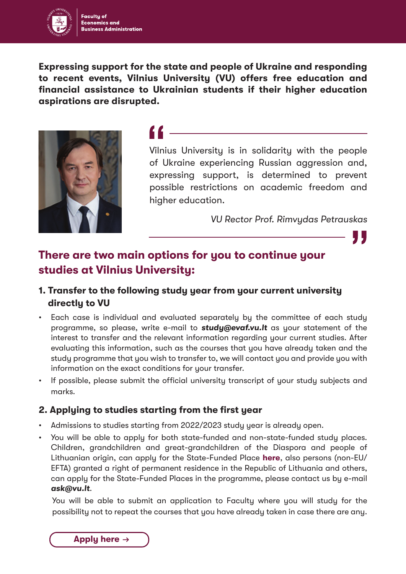

**Faculty of Economics and Business Administration** 

**Expressing support for the state and people of Ukraine and responding to recent events, Vilnius University (VU) offers free education and financial assistance to Ukrainian students if their higher education aspirations are disrupted.** 



Vilnius University is in solidarity with the people of Ukraine experiencing Russian aggression and, expressing support, is determined to prevent possible restrictions on academic freedom and higher education.

*VU Rector Prof. Rimvydas Petrauskas*

W

**There are two main options for you to continue your studies at Vilnius University:**

 $\epsilon$ 

### **1. Transfer to the following study year from your current university directly to VU**

- Each case is individual and evaluated separately by the committee of each study programme, so please, write e-mail to *study@evaf.vu.lt* as your statement of the interest to transfer and the relevant information regarding your current studies. After evaluating this information, such as the courses that you have already taken and the study programme that you wish to transfer to, we will contact you and provide you with information on the exact conditions for your transfer.
- If possible, please submit the official university transcript of your study subjects and marks.

### **2. Applying to studies starting from the first year**

- Admissions to studies starting from 2022/2023 study year is already open.
- You will be able to apply for both state-funded and non-state-funded study places. Children, grandchildren and great-grandchildren of the Diaspora and people of Lithuanian origin, can apply for the State-Funded Place **[here](https://bp.lamabpo.lt/bp2021/lama_is.main?p_lang=ENG)**, also persons (non-EU/ EFTA) granted a right of permanent residence in the Republic of Lithuania and others, can apply for the State-Funded Places in the programme, please contact us by e-mail *ask@vu.lt*.

You will be able to submit an application to Faculty where you will study for the possibility not to repeat the courses that you have already taken in case there are any.